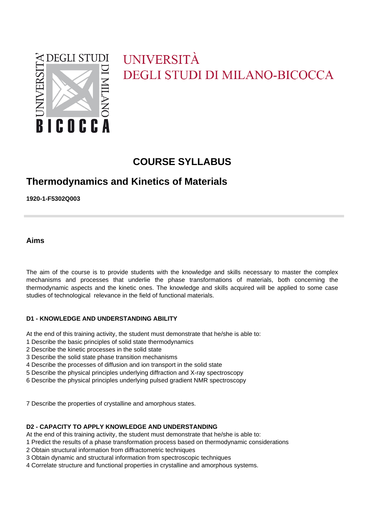

# UNIVERSITÀ **DEGLI STUDI DI MILANO-BICOCCA**

# **COURSE SYLLABUS**

# **Thermodynamics and Kinetics of Materials**

**1920-1-F5302Q003**

**Aims**

The aim of the course is to provide students with the knowledge and skills necessary to master the complex mechanisms and processes that underlie the phase transformations of materials, both concerning the thermodynamic aspects and the kinetic ones. The knowledge and skills acquired will be applied to some case studies of technological relevance in the field of functional materials.

#### **D1 - KNOWLEDGE AND UNDERSTANDING ABILITY**

At the end of this training activity, the student must demonstrate that he/she is able to:

- 1 Describe the basic principles of solid state thermodynamics
- 2 Describe the kinetic processes in the solid state
- 3 Describe the solid state phase transition mechanisms
- 4 Describe the processes of diffusion and ion transport in the solid state
- 5 Describe the physical principles underlying diffraction and X-ray spectroscopy
- 6 Describe the physical principles underlying pulsed gradient NMR spectroscopy

7 Describe the properties of crystalline and amorphous states.

#### **D2 - CAPACITY TO APPLY KNOWLEDGE AND UNDERSTANDING**

At the end of this training activity, the student must demonstrate that he/she is able to:

- 1 Predict the results of a phase transformation process based on thermodynamic considerations
- 2 Obtain structural information from diffractometric techniques
- 3 Obtain dynamic and structural information from spectroscopic techniques
- 4 Correlate structure and functional properties in crystalline and amorphous systems.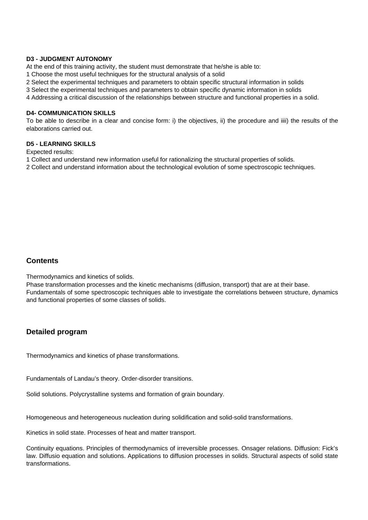#### **D3 - JUDGMENT AUTONOMY**

At the end of this training activity, the student must demonstrate that he/she is able to:

1 Choose the most useful techniques for the structural analysis of a solid

2 Select the experimental techniques and parameters to obtain specific structural information in solids

3 Select the experimental techniques and parameters to obtain specific dynamic information in solids

4 Addressing a critical discussion of the relationships between structure and functional properties in a solid.

#### **D4- COMMUNICATION SKILLS**

To be able to describe in a clear and concise form: i) the objectives, ii) the procedure and iiii) the results of the elaborations carried out.

#### **D5 - LEARNING SKILLS**

Expected results:

- 1 Collect and understand new information useful for rationalizing the structural properties of solids.
- 2 Collect and understand information about the technological evolution of some spectroscopic techniques.

### **Contents**

Thermodynamics and kinetics of solids.

Phase transformation processes and the kinetic mechanisms (diffusion, transport) that are at their base. Fundamentals of some spectroscopic techniques able to investigate the correlations between structure, dynamics and functional properties of some classes of solids.

#### **Detailed program**

Thermodynamics and kinetics of phase transformations.

Fundamentals of Landau's theory. Order-disorder transitions.

Solid solutions. Polycrystalline systems and formation of grain boundary.

Homogeneous and heterogeneous nucleation during solidification and solid-solid transformations.

Kinetics in solid state. Processes of heat and matter transport.

Continuity equations. Principles of thermodynamics of irreversible processes. Onsager relations. Diffusion: Fick's law. Diffusio equation and solutions. Applications to diffusion processes in solids. Structural aspects of solid state transformations.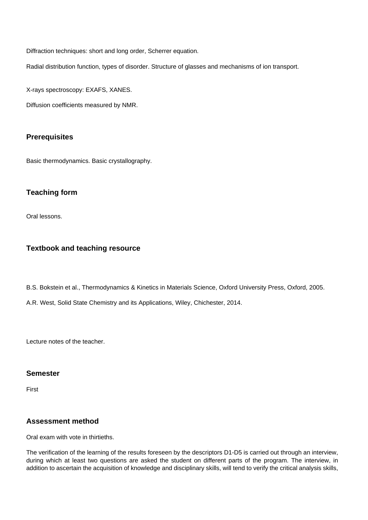Diffraction techniques: short and long order, Scherrer equation.

Radial distribution function, types of disorder. Structure of glasses and mechanisms of ion transport.

X-rays spectroscopy: EXAFS, XANES.

Diffusion coefficients measured by NMR.

## **Prerequisites**

Basic thermodynamics. Basic crystallography.

### **Teaching form**

Oral lessons.

### **Textbook and teaching resource**

B.S. Bokstein et al., Thermodynamics & Kinetics in Materials Science, Oxford University Press, Oxford, 2005.

A.R. West, Solid State Chemistry and its Applications, Wiley, Chichester, 2014.

Lecture notes of the teacher.

#### **Semester**

First

## **Assessment method**

Oral exam with vote in thirtieths.

The verification of the learning of the results foreseen by the descriptors D1-D5 is carried out through an interview, during which at least two questions are asked the student on different parts of the program. The interview, in addition to ascertain the acquisition of knowledge and disciplinary skills, will tend to verify the critical analysis skills,